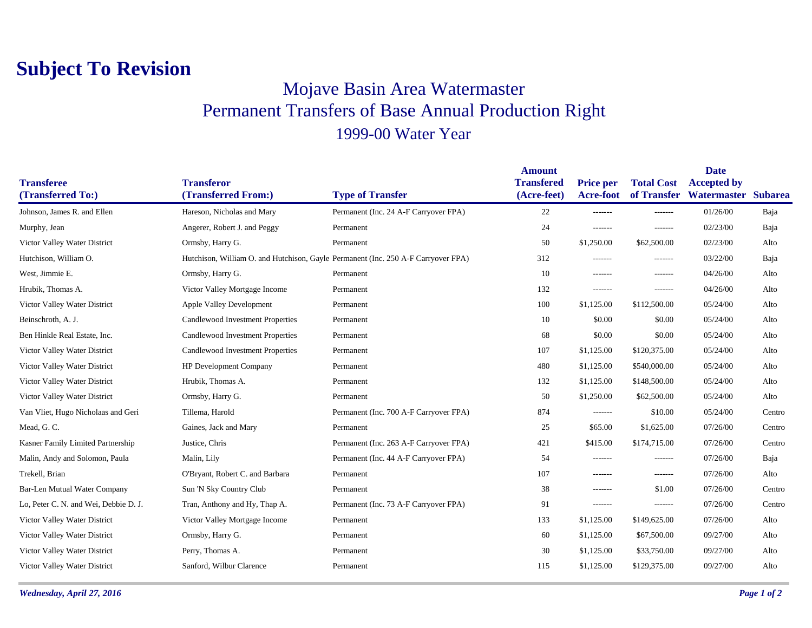## **Subject To Revision**

## Mojave Basin Area Watermaster Permanent Transfers of Base Annual Production Right 1999-00 Water Year

|                                        |                                          |                                                                                   | <b>Amount</b>                    |                                      |                   | <b>Date</b>                                   |                |
|----------------------------------------|------------------------------------------|-----------------------------------------------------------------------------------|----------------------------------|--------------------------------------|-------------------|-----------------------------------------------|----------------|
| <b>Transferee</b><br>(Transferred To:) | <b>Transferor</b><br>(Transferred From:) | <b>Type of Transfer</b>                                                           | <b>Transfered</b><br>(Acre-feet) | <b>Price per</b><br><b>Acre-foot</b> | <b>Total Cost</b> | <b>Accepted by</b><br>of Transfer Watermaster | <b>Subarea</b> |
|                                        |                                          |                                                                                   |                                  |                                      |                   |                                               |                |
| Johnson, James R. and Ellen            | Hareson, Nicholas and Mary               | Permanent (Inc. 24 A-F Carryover FPA)                                             | 22                               | -------                              | -------           | 01/26/00                                      | Baja           |
| Murphy, Jean                           | Angerer, Robert J. and Peggy             | Permanent                                                                         | 24                               | $- - - - - - -$                      | $- - - - - - -$   | 02/23/00                                      | Baja           |
| Victor Valley Water District           | Ormsby, Harry G.                         | Permanent                                                                         | 50                               | \$1,250.00                           | \$62,500.00       | 02/23/00                                      | Alto           |
| Hutchison, William O.                  |                                          | Hutchison, William O. and Hutchison, Gayle Permanent (Inc. 250 A-F Carryover FPA) | 312                              | $- - - - - - -$                      | $- - - - - - -$   | 03/22/00                                      | Baja           |
| West, Jimmie E.                        | Ormsby, Harry G.                         | Permanent                                                                         | 10                               | -------                              | -------           | 04/26/00                                      | Alto           |
| Hrubik, Thomas A.                      | Victor Valley Mortgage Income            | Permanent                                                                         | 132                              | $- - - - - - -$                      | -------           | 04/26/00                                      | Alto           |
| Victor Valley Water District           | <b>Apple Valley Development</b>          | Permanent                                                                         | 100                              | \$1,125.00                           | \$112,500.00      | 05/24/00                                      | Alto           |
| Beinschroth, A. J.                     | Candlewood Investment Properties         | Permanent                                                                         | 10                               | \$0.00                               | \$0.00            | 05/24/00                                      | Alto           |
| Ben Hinkle Real Estate, Inc.           | Candlewood Investment Properties         | Permanent                                                                         | 68                               | \$0.00                               | \$0.00            | 05/24/00                                      | Alto           |
| Victor Valley Water District           | Candlewood Investment Properties         | Permanent                                                                         | 107                              | \$1,125.00                           | \$120,375.00      | 05/24/00                                      | Alto           |
| Victor Valley Water District           | HP Development Company                   | Permanent                                                                         | 480                              | \$1,125.00                           | \$540,000.00      | 05/24/00                                      | Alto           |
| Victor Valley Water District           | Hrubik, Thomas A.                        | Permanent                                                                         | 132                              | \$1,125.00                           | \$148,500.00      | 05/24/00                                      | Alto           |
| Victor Valley Water District           | Ormsby, Harry G.                         | Permanent                                                                         | 50                               | \$1,250.00                           | \$62,500.00       | 05/24/00                                      | Alto           |
| Van Vliet, Hugo Nicholaas and Geri     | Tillema, Harold                          | Permanent (Inc. 700 A-F Carryover FPA)                                            | 874                              | -------                              | \$10.00           | 05/24/00                                      | Centro         |
| Mead, G.C.                             | Gaines, Jack and Mary                    | Permanent                                                                         | 25                               | \$65.00                              | \$1,625.00        | 07/26/00                                      | Centro         |
| Kasner Family Limited Partnership      | Justice, Chris                           | Permanent (Inc. 263 A-F Carryover FPA)                                            | 421                              | \$415.00                             | \$174,715.00      | 07/26/00                                      | Centro         |
| Malin, Andy and Solomon, Paula         | Malin, Lily                              | Permanent (Inc. 44 A-F Carryover FPA)                                             | 54                               | -------                              | -------           | 07/26/00                                      | Baja           |
| Trekell, Brian                         | O'Bryant, Robert C. and Barbara          | Permanent                                                                         | 107                              | -------                              | $- - - - - - -$   | 07/26/00                                      | Alto           |
| Bar-Len Mutual Water Company           | Sun 'N Sky Country Club                  | Permanent                                                                         | 38                               | -------                              | \$1.00            | 07/26/00                                      | Centro         |
| Lo, Peter C. N. and Wei, Debbie D. J.  | Tran, Anthony and Hy, Thap A.            | Permanent (Inc. 73 A-F Carryover FPA)                                             | 91                               | -------                              | -------           | 07/26/00                                      | Centro         |
| Victor Valley Water District           | Victor Valley Mortgage Income            | Permanent                                                                         | 133                              | \$1,125.00                           | \$149,625.00      | 07/26/00                                      | Alto           |
| Victor Valley Water District           | Ormsby, Harry G.                         | Permanent                                                                         | 60                               | \$1,125.00                           | \$67,500.00       | 09/27/00                                      | Alto           |
| Victor Valley Water District           | Perry, Thomas A.                         | Permanent                                                                         | 30                               | \$1,125.00                           | \$33,750.00       | 09/27/00                                      | Alto           |
| Victor Valley Water District           | Sanford, Wilbur Clarence                 | Permanent                                                                         | 115                              | \$1,125.00                           | \$129,375.00      | 09/27/00                                      | Alto           |